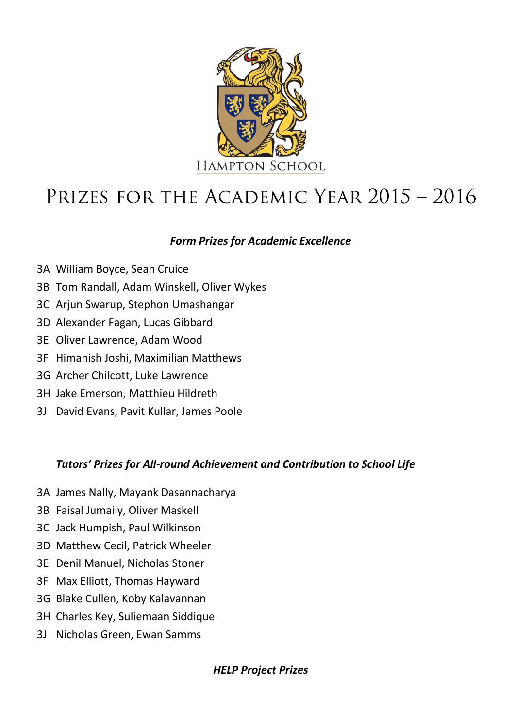

# PRIZES FOR THE ACADEMIC YEAR 2015 - 2016

# *Form Prizes for Academic Excellence*

- 3A William Boyce, Sean Cruice
- 3B Tom Randall, Adam Winskell, Oliver Wykes
- 3C Arjun Swarup, Stephon Umashangar
- 3D Alexander Fagan, Lucas Gibbard
- 3E Oliver Lawrence, Adam Wood
- 3F Himanish Joshi, Maximilian Matthews
- 3G Archer Chilcott, Luke Lawrence
- 3H Jake Emerson, Matthieu Hildreth
- 3J David Evans, Pavit Kullar, James Poole

# *Tutors' Prizes for All-round Achievement and Contribution to School Life*

- 3A James Nally, Mayank Dasannacharya
- 3B Faisal Jumaily, Oliver Maskell
- 3C Jack Humpish, Paul Wilkinson
- 3D Matthew Cecil, Patrick Wheeler
- 3E Denil Manuel, Nicholas Stoner
- 3F Max Elliott, Thomas Hayward
- 3G Blake Cullen, Koby Kalavannan
- 3H Charles Key, Suliemaan Siddique
- 3J Nicholas Green, Ewan Samms

# *HELP Project Prizes*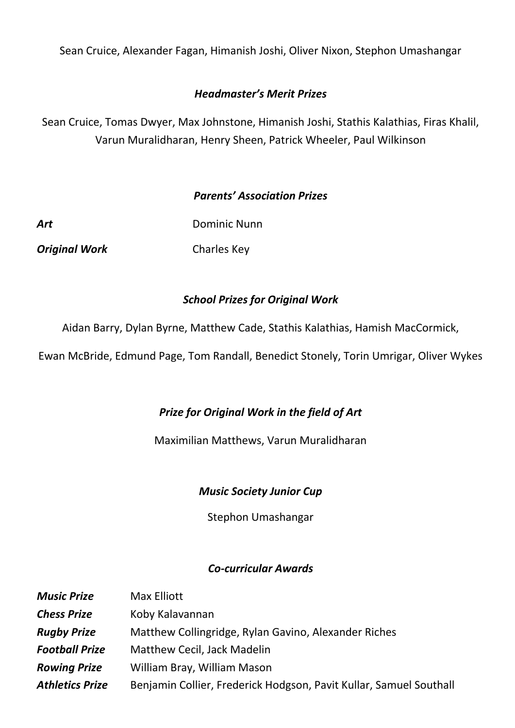Sean Cruice, Alexander Fagan, Himanish Joshi, Oliver Nixon, Stephon Umashangar

## *Headmaster's Merit Prizes*

Sean Cruice, Tomas Dwyer, Max Johnstone, Himanish Joshi, Stathis Kalathias, Firas Khalil, Varun Muralidharan, Henry Sheen, Patrick Wheeler, Paul Wilkinson

## *Parents' Association Prizes*

| Art                  | <b>Dominic Nunn</b> |
|----------------------|---------------------|
| <b>Original Work</b> | Charles Key         |

## *School Prizes for Original Work*

Aidan Barry, Dylan Byrne, Matthew Cade, Stathis Kalathias, Hamish MacCormick,

Ewan McBride, Edmund Page, Tom Randall, Benedict Stonely, Torin Umrigar, Oliver Wykes

## *Prize for Original Work in the field of Art*

#### Maximilian Matthews, Varun Muralidharan

#### *Music Society Junior Cup*

Stephon Umashangar

#### *Co-curricular Awards*

| <b>Music Prize</b>     | Max Elliott                                                        |
|------------------------|--------------------------------------------------------------------|
| <b>Chess Prize</b>     | Koby Kalavannan                                                    |
| <b>Rugby Prize</b>     | Matthew Collingridge, Rylan Gavino, Alexander Riches               |
| <b>Football Prize</b>  | Matthew Cecil, Jack Madelin                                        |
| <b>Rowing Prize</b>    | William Bray, William Mason                                        |
| <b>Athletics Prize</b> | Benjamin Collier, Frederick Hodgson, Pavit Kullar, Samuel Southall |